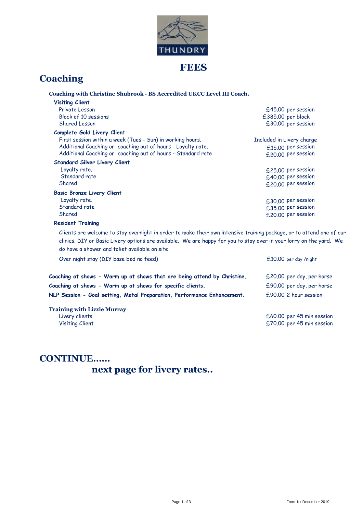

### **FEES**

# **Coaching**

| Coaching with Christine Shubrook - BS Accredited UKCC Level III Coach.                                               |                           |
|----------------------------------------------------------------------------------------------------------------------|---------------------------|
| <b>Visiting Client</b>                                                                                               |                           |
| Private Lesson                                                                                                       | £45.00 per session        |
| Block of 10 sessions                                                                                                 | £385.00 per block         |
| Shared Lesson                                                                                                        | £30.00 per session        |
| Complete Gold Livery Client                                                                                          |                           |
| First session within a week (Tues - Sun) in working hours.                                                           | Included in Livery charge |
| Additional Coaching or coaching out of hours - Loyalty rate.                                                         | £15.00 per session        |
| Additional Coaching or coaching out of hours - Standard rate                                                         | £20.00 per session        |
| <b>Standard Silver Livery Client</b>                                                                                 |                           |
| Loyalty rate.                                                                                                        | £25.00 per session        |
| Standard rate                                                                                                        | £40.00 per session        |
| Shared                                                                                                               | £20.00 per session        |
| <b>Basic Bronze Livery Client</b>                                                                                    |                           |
| Loyalty rate.                                                                                                        | £30.00 per session        |
| Standard rate                                                                                                        | £35.00 per session        |
| Shared                                                                                                               | £20.00 per session        |
| <b>Resident Training</b>                                                                                             |                           |
| Clients are welcome to stay overnight in order to make their own intensive training package, or to attend one of our |                           |
| clinics. DIY or Basic Livery options are available. We are happy for you to stay over in your lorry on the yard. We  |                           |
| do have a shower and toliet available on site                                                                        |                           |

| Over night stay (DIY base bed no feed)                                   | $£10.00$ per day /night   |
|--------------------------------------------------------------------------|---------------------------|
| Coaching at shows - Warm up at shows that are being attend by Christine. | £20.00 per day, per horse |
| Coaching at shows - Warm up at shows for specific clients.               | £90.00 per day, per horse |
| NLP Session - Goal setting, Metal Preparation, Performance Enhancement.  | £90.00 2 hour session     |
| <b>Training with Lizzie Murray</b>                                       |                           |
| Livery clients                                                           | £60.00 per 45 min session |

Visiting Client £70.00 per 45 min session

### **CONTINUE……**

 **next page for livery rates..**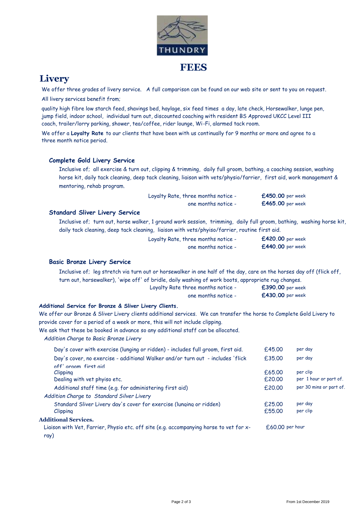

## **Livery**

We offer three grades of livery service. A full comparison can be found on our web site or sent to you on request.

All livery services benefit from;

quality high fibre low starch feed, shavings bed, haylage, six feed times a day, late check, Horsewalker, lunge pen, jump field, indoor school, individual turn out, discounted coaching with resident BS Approved UKCC Level III coach, trailer/lorry parking, shower, tea/coffee, rider lounge, Wi-Fi, alarmed tack room.

We offer a **Loyalty Rate** to our clients that have been with us continually for 9 months or more and agree to a three month notice period.

#### **Complete Gold Livery Service**

Inclusive of; all exercise & turn out, clipping & trimming, daily full groom, bathing, a coaching session, washing horse kit, daily tack cleaning, deep tack cleaning, liaison with vets/physio/farrier, first aid, work management & mentoring, rehab program.

| Loyalty Rate, three months notice - | $£450.00$ per week |
|-------------------------------------|--------------------|
| one months notice -                 | $£465.00$ per week |

#### **Standard Sliver Livery Service**

Inclusive of; turn out, horse walker, 1 ground work session, trimming, daily full groom, bathing, washing horse kit, daily tack cleaning, deep tack cleaning, liaison with vets/phyiso/farrier, routine first aid.

| Loyalty Rate, three months notice - | £420.00 per week |
|-------------------------------------|------------------|
| one months notice -                 | £440.00 per week |

#### **Basic Bronze Livery Service**

Loyalty Rate three months notice - **£390.00** per extending the months notice -Inclusive of; leg stretch via turn out or horsewalker in one half of the day, care on the horses day off (flick off, turn out, horsewalker), 'wipe off' of bridle, daily washing of work boots, appropriate rug changes.

| arry Rate Three months notice - | LOYU. UU PEI WEEK       |
|---------------------------------|-------------------------|
| one months notice -             | <b>£430.00</b> per week |

#### **Additional Service for Bronze & Sliver Livery Clients.**

We offer our Bronze & Sliver Livery clients additional services. We can transfer the horse to Complete Gold Livery to provide cover for a period of a week or more, this will not include clipping.

We ask that these be booked in advance so any additional staff can be allocated.

*Addition Charge to Basic Bronze Livery* 

| Day's cover with exercise (lunging or ridden) - includes full groom, first aid.                | f.45.00         | per day                 |
|------------------------------------------------------------------------------------------------|-----------------|-------------------------|
| Day's cover, no exercise - additional Walker and/or turn out - includes 'flick                 | £35.00          | per day                 |
| off' aroom first aid<br><i>Clipping</i>                                                        | f.65.00         | per clip                |
| Dealing with vet phyiso etc.                                                                   | f.20.00         | per 1 hour or part of.  |
| Additional staff time (e.g. for administering first aid)                                       | £20.00          | per 30 mins or part of. |
| Addition Charge to Standard Silver Livery                                                      |                 |                         |
| Standard Sliver Livery day's cover for exercise (lunging or ridden)                            | f.25.00         | per day                 |
| <i>Clipping</i>                                                                                | £55.00          | per clip                |
| <b>Additional Services.</b>                                                                    |                 |                         |
| Liaison with Vet, Farrier, Physio etc. off site (e.g. accompanying horse to vet for x-<br>ray) | £60.00 per hour |                         |